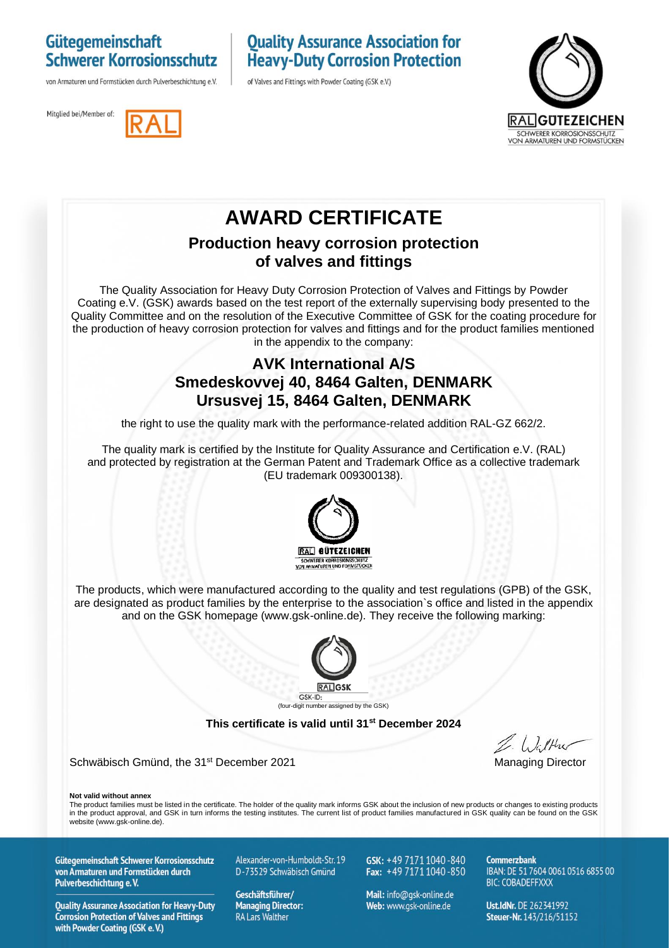#### Gütegemeinschaft **Schwerer Korrosionsschutz**

von Armaturen und Formstücken durch Pulverbeschichtung e.V.

Mitglied bei/Member of:

### **Quality Assurance Association for Heavy-Duty Corrosion Protection**

of Valves and Fittings with Powder Coating (GSK e.V.)





## **AWARD CERTIFICATE**

#### **Production heavy corrosion protection of valves and fittings**

The Quality Association for Heavy Duty Corrosion Protection of Valves and Fittings by Powder Coating e.V. (GSK) awards based on the test report of the externally supervising body presented to the Quality Committee and on the resolution of the Executive Committee of GSK for the coating procedure for the production of heavy corrosion protection for valves and fittings and for the product families mentioned in the appendix to the company:

#### **AVK International A/S Smedeskovvej 40, 8464 Galten, DENMARK Ursusvej 15, 8464 Galten, DENMARK**

the right to use the quality mark with the performance-related addition RAL-GZ 662/2.

The quality mark is certified by the Institute for Quality Assurance and Certification e.V. (RAL) and protected by registration at the German Patent and Trademark Office as a collective trademark (EU trademark 009300138).



The products, which were manufactured according to the quality and test regulations (GPB) of the GSK, are designated as product families by the enterprise to the association`s office and listed in the appendix and on the GSK homepage (www.gsk-online.de). They receive the following marking:



#### **This certificate is valid until 31st December 2024**

Schwäbisch Gmünd, the 31<sup>st</sup> December 2021 Managing Director Managing Director

**Not valid without annex**

The product families must be listed in the certificate. The holder of the quality mark informs GSK about the inclusion of new products or changes to existing products in the product approval, and GSK in turn informs the testing institutes. The current list of product families manufactured in GSK quality can be found on the GSK website (www.gsk-online.de).

Gütegemeinschaft Schwerer Korrosionsschutz von Armaturen und Formstücken durch Pulverbeschichtung e.V.

**Quality Assurance Association for Heavy-Duty Corrosion Protection of Valves and Fittings** with Powder Coating (GSK e.V.)

Alexander-von-Humboldt-Str. 19 D-73529 Schwäbisch Gmünd

Geschäftsführer/ **Managing Director: RA Lars Walther** 

GSK: +49 7171 1040-840 Fax:  $+49\,7171\,1040\,850$ 

Mail: info@qsk-online.de Web: www.gsk-online.de

Commerzhank IBAN: DE 51 7604 0061 0516 6855 00 **BIC: COBADEFFXXX** 

Ust.IdNr. DE 262341992 Steuer-Nr. 143/216/51152